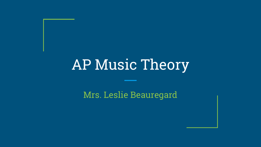Mrs. Leslie Beauregard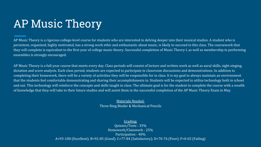AP Music Theory is a rigorous college-level course for students who are interested in delving deeper into their musical studies. A student who is persistent, organized, highly motivated, has a strong work ethic and enthusiastic about music, is likely to succeed in this class. The coursework that they will complete is equivalent to the first year of college music theory. Successful completion of Music Theory I, as well as membership in performing ensembles is strongly encouraged.

AP Music Theory is a full-year course that meets every day. Class periods will consist of lecture and written work as well as aural skills, sight singing, dictation and score analysis. Each class period, students are expected to participate in classroom discussions and demonstrations. In addition to completing their homework, there will be a variety of activities they will be responsible for in class. It is my goal to always maintain an environment that the students feel comfortable demonstrating and sharing their accomplishments in. Students will be expected to utilize technology both in school and out. This technology will reinforce the concepts and skills taught in class. The ultimate goal is for the student to complete the course with a wealth of knowledge that they will take to their future studies and will assist them in the successful completion of the AP Music Theory Exam in May.

> Materials Needed: Three Ring Binder & Mechanical Pencils

#### Grading:

Quizzes/Tests - 35% Homework/Classwork - 25% Participation - 40% A=93-100 (Excellent); B=92-85 (Good); C=77-84 (Satisfactory); D=70-76 (Poor); F=0-65 (Failing)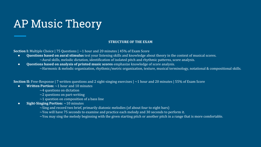#### **STRUCTURE OF THE EXAM**

**Section I:** Multiple Choice | 75 Questions |  $\sim$ 1 hour and 20 minutes | 45% of Exam Score

- **Questions based on aural stimulus** test your listening skills and knowledge about theory in the context of musical scores.  $\sim$ Aural skills, melodic dictation, identification of isolated pitch and rhythmic patterns, score analysis.
- **Questions based on analysis of printed music scores** emphasize knowledge of score analysis. ~Harmonic & melodic organization, rhythmic/metric organization, texture, musical terminology, notational & compositional skills.

**Section II:** Free-Response | 7 written questions and 2 sight-singing exercises | ~1 hour and 20 minutes | 55% of Exam Score

- **Written Portion:** ~1 hour and 10 minutes
	- $~\sim$ 4 questions on dictation
	- $\sim$ 2 questions on part-writing
	- $\sim$ 1 question on composition of a bass line
- **Sight-Singing Portion:** ~10 minutes
	- $\sim$ Sing and record two brief, primarily diatonic melodies (of about four to eight bars)
	- $\sim$ You will have 75 seconds to examine and practice each melody and 30 seconds to perform it.
	- $\sim$ You may sing the melody beginning with the given starting pitch or another pitch in a range that is more comfortable.